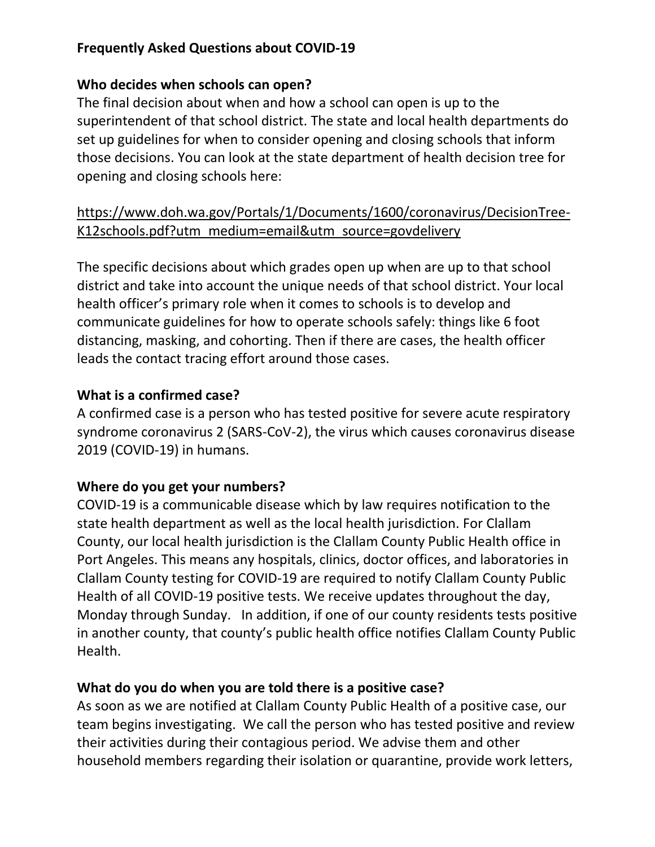## **Frequently Asked Questions about COVID-19**

#### **Who decides when schools can open?**

The final decision about when and how a school can open is up to the superintendent of that school district. The state and local health departments do set up guidelines for when to consider opening and closing schools that inform those decisions. You can look at the state department of health decision tree for opening and closing schools here:

## [https://www.doh.wa.gov/Portals/1/Documents/1600/coronavirus/DecisionTree-](https://www.doh.wa.gov/Portals/1/Documents/1600/coronavirus/DecisionTree-K12schools.pdf?utm_medium=email&utm_source=govdelivery)[K12schools.pdf?utm\\_medium=email&utm\\_source=govdelivery](https://www.doh.wa.gov/Portals/1/Documents/1600/coronavirus/DecisionTree-K12schools.pdf?utm_medium=email&utm_source=govdelivery)

The specific decisions about which grades open up when are up to that school district and take into account the unique needs of that school district. Your local health officer's primary role when it comes to schools is to develop and communicate guidelines for how to operate schools safely: things like 6 foot distancing, masking, and cohorting. Then if there are cases, the health officer leads the contact tracing effort around those cases.

## **What is a confirmed case?**

A confirmed case is a person who has tested positive for severe acute respiratory syndrome coronavirus 2 (SARS-CoV-2), the virus which causes coronavirus disease 2019 (COVID-19) in humans.

## **Where do you get your numbers?**

COVID-19 is a communicable disease which by law requires notification to the state health department as well as the local health jurisdiction. For Clallam County, our local health jurisdiction is the Clallam County Public Health office in Port Angeles. This means any hospitals, clinics, doctor offices, and laboratories in Clallam County testing for COVID-19 are required to notify Clallam County Public Health of all COVID-19 positive tests. We receive updates throughout the day, Monday through Sunday. In addition, if one of our county residents tests positive in another county, that county's public health office notifies Clallam County Public Health.

#### **What do you do when you are told there is a positive case?**

As soon as we are notified at Clallam County Public Health of a positive case, our team begins investigating. We call the person who has tested positive and review their activities during their contagious period. We advise them and other household members regarding their isolation or quarantine, provide work letters,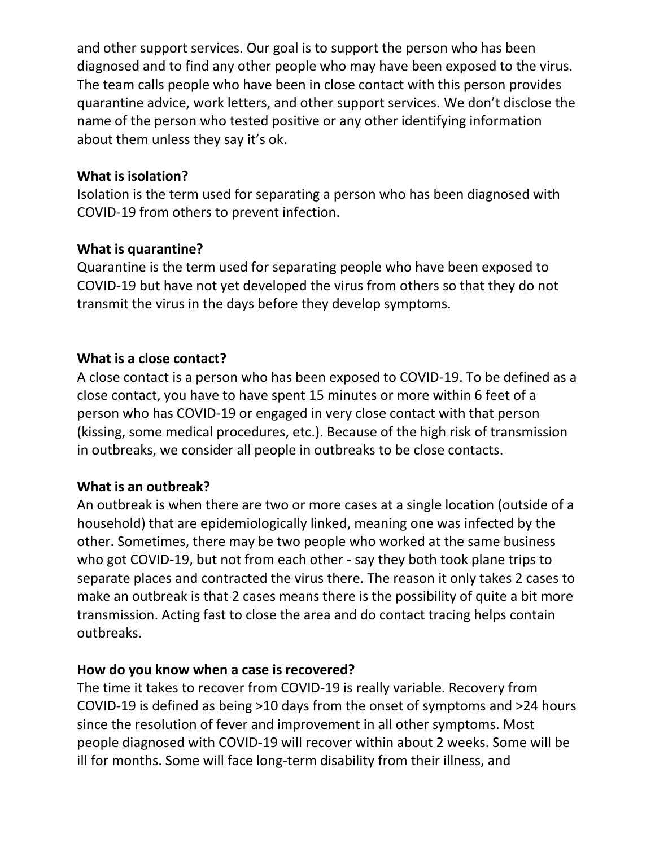and other support services. Our goal is to support the person who has been diagnosed and to find any other people who may have been exposed to the virus. The team calls people who have been in close contact with this person provides quarantine advice, work letters, and other support services. We don't disclose the name of the person who tested positive or any other identifying information about them unless they say it's ok.

#### **What is isolation?**

Isolation is the term used for separating a person who has been diagnosed with COVID-19 from others to prevent infection.

#### **What is quarantine?**

Quarantine is the term used for separating people who have been exposed to COVID-19 but have not yet developed the virus from others so that they do not transmit the virus in the days before they develop symptoms.

## **What is a close contact?**

A close contact is a person who has been exposed to COVID-19. To be defined as a close contact, you have to have spent 15 minutes or more within 6 feet of a person who has COVID-19 or engaged in very close contact with that person (kissing, some medical procedures, etc.). Because of the high risk of transmission in outbreaks, we consider all people in outbreaks to be close contacts.

#### **What is an outbreak?**

An outbreak is when there are two or more cases at a single location (outside of a household) that are epidemiologically linked, meaning one was infected by the other. Sometimes, there may be two people who worked at the same business who got COVID-19, but not from each other - say they both took plane trips to separate places and contracted the virus there. The reason it only takes 2 cases to make an outbreak is that 2 cases means there is the possibility of quite a bit more transmission. Acting fast to close the area and do contact tracing helps contain outbreaks.

#### **How do you know when a case is recovered?**

The time it takes to recover from COVID-19 is really variable. Recovery from COVID-19 is defined as being >10 days from the onset of symptoms and >24 hours since the resolution of fever and improvement in all other symptoms. Most people diagnosed with COVID-19 will recover within about 2 weeks. Some will be ill for months. Some will face long-term disability from their illness, and